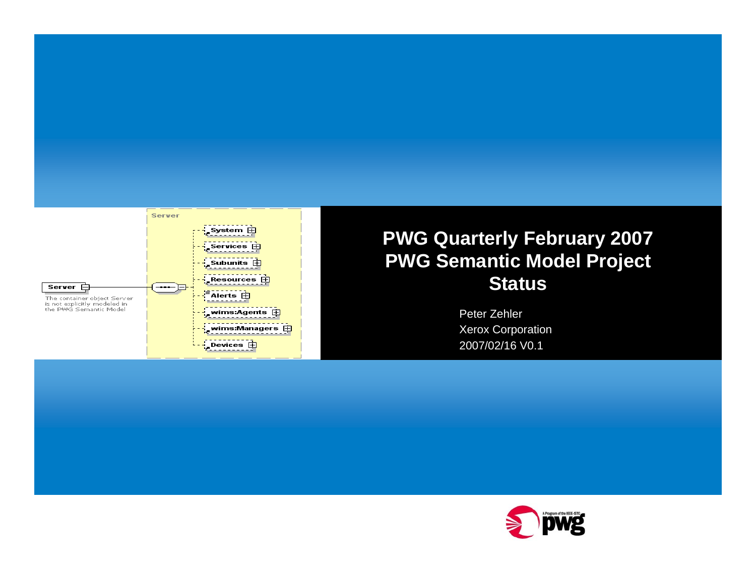

#### **PWG Quarterly February 2007 PWG Semantic Model Project Status**

Peter Zehler Xerox Corporation 2007/02/16 V0.1

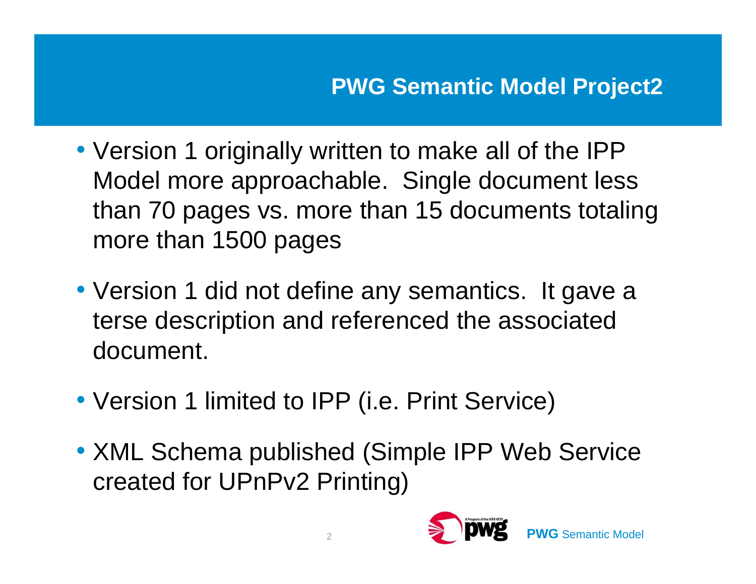- Version 1 originally written to make all of the IPP Model more approachable. Single document less than 70 pages vs. more than 15 documents totaling more than 1500 pages
- Version 1 did not define any semantics. It gave a terse description and referenced the associated document.
- Version 1 limited to IPP (i.e. Print Service)
- XML Schema published (Simple IPP Web Service created for UPnPv2 Printing)

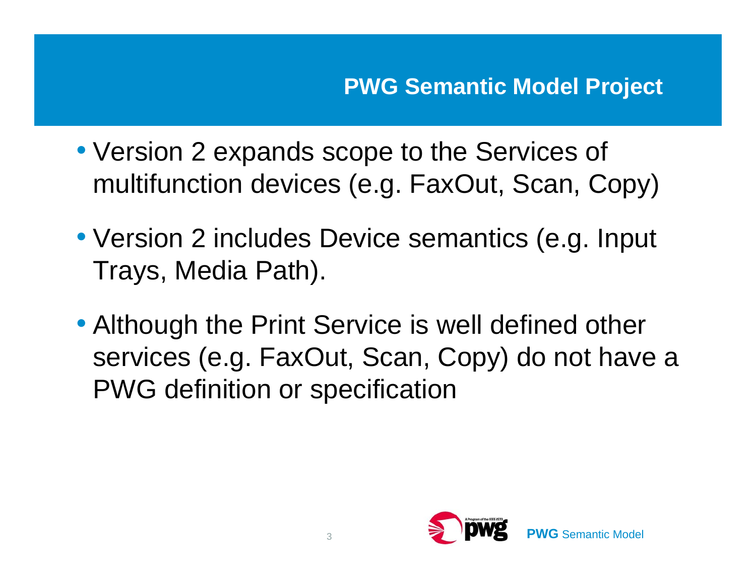- Version 2 expands scope to the Services of multifunction devices (e.g. FaxOut, Scan, Copy)
- Version 2 includes Device semantics (e.g. Input Trays, Media Path).
- Although the Print Service is well defined other services (e.g. FaxOut, Scan, Copy) do not have a PWG definition or specification

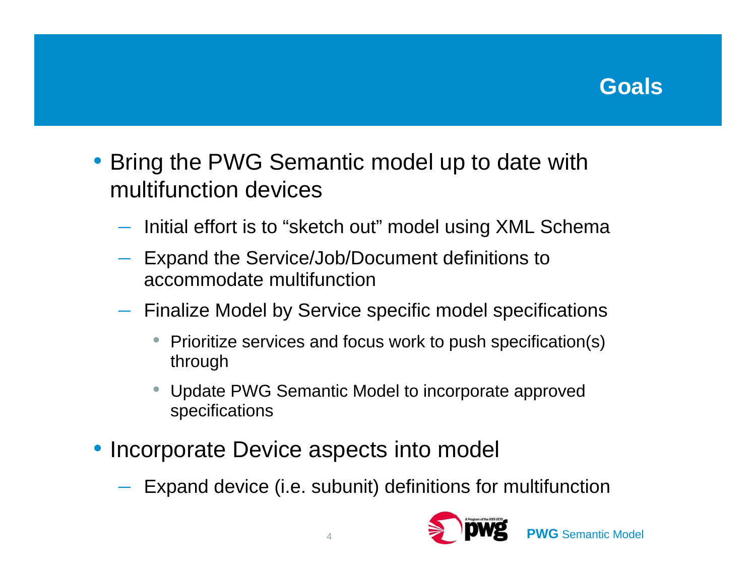## **Goals**

- • Bring the PWG Semantic model up to date with multifunction devices
	- $-$  Initial effort is to "sketch out" model using XML Schema
	- $\mathcal{L}_{\mathcal{A}}$  , and the set of  $\mathcal{L}_{\mathcal{A}}$  Expand the Service/Job/Document definitions to accommodate multifunction
	- – Finalize Model by Service specific model specifications
		- • Prioritize services and focus work to push specification(s) through
		- Update PWG Semantic Model to incorporate approved specifications
- Incorporate Device aspects into model
	- $\mathcal{L}_{\mathcal{A}}$  , and the set of  $\mathcal{L}_{\mathcal{A}}$  $-$  Expand device (i.e. subunit) definitions for multifunction

4



**PWG** Semantic Model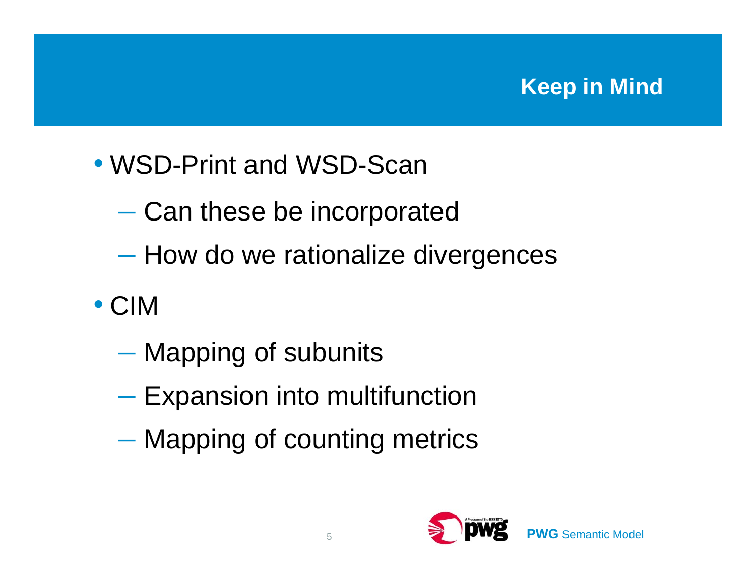## **Keep in Mind**

- WSD-Print and WSD-Scan
	- $-$  Can these be incorporated
	- $-$  How do we rationalize divergences
- CIM
	- $-$  Mapping of subunits
	- $-$  Expansion into multifunction
	- $-$  Mapping of counting metrics



**PWG** Semantic Model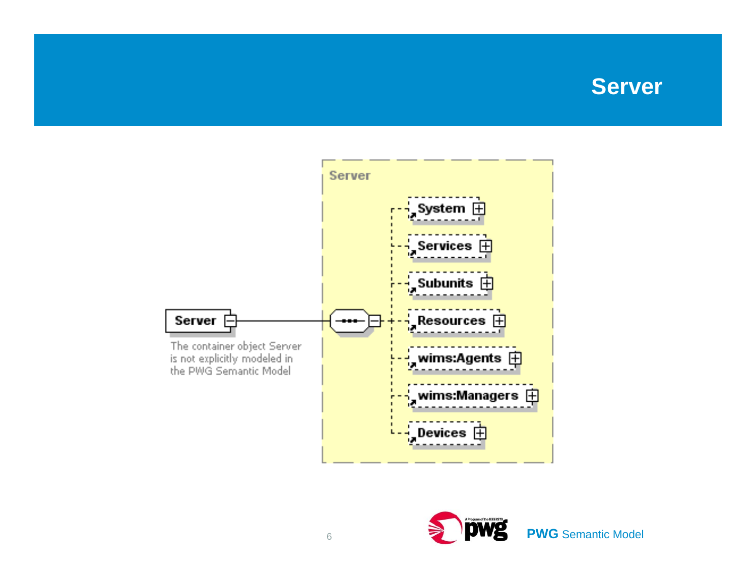### **Server**



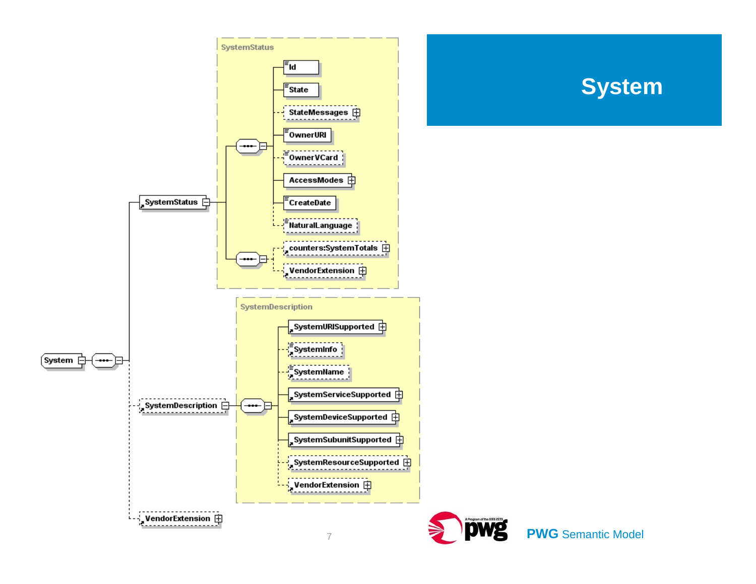

### **System**

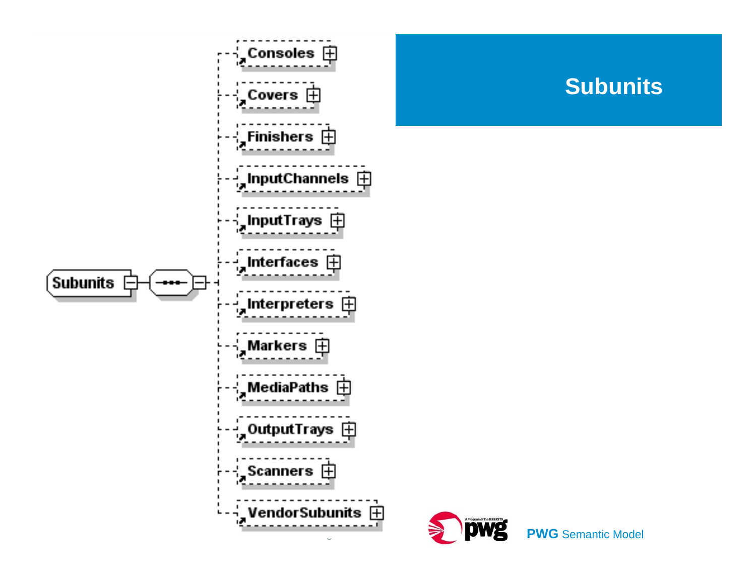



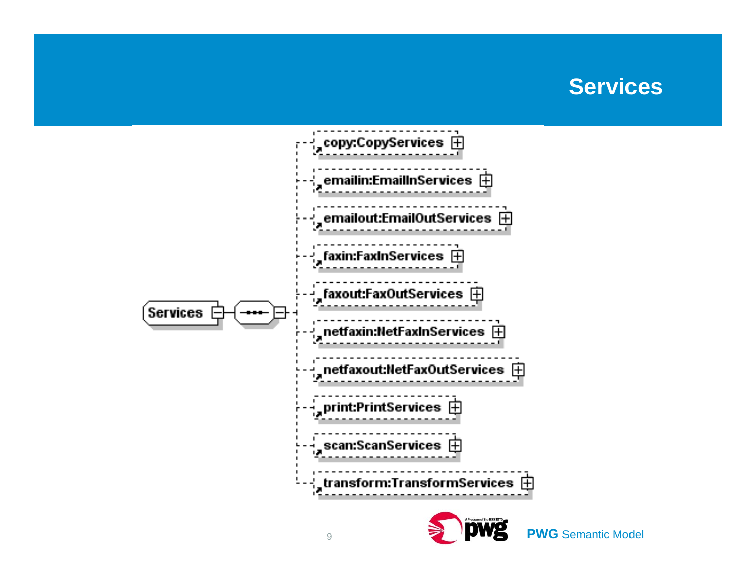### **Services**



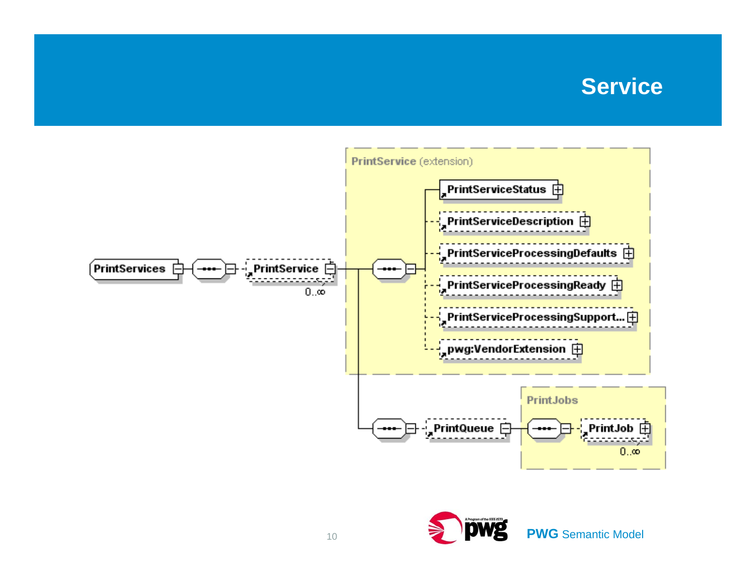#### **Service**



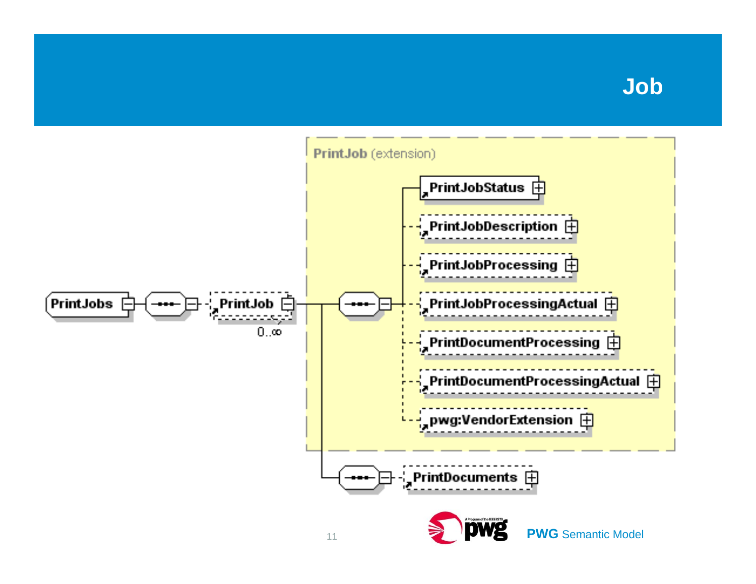### **Job**

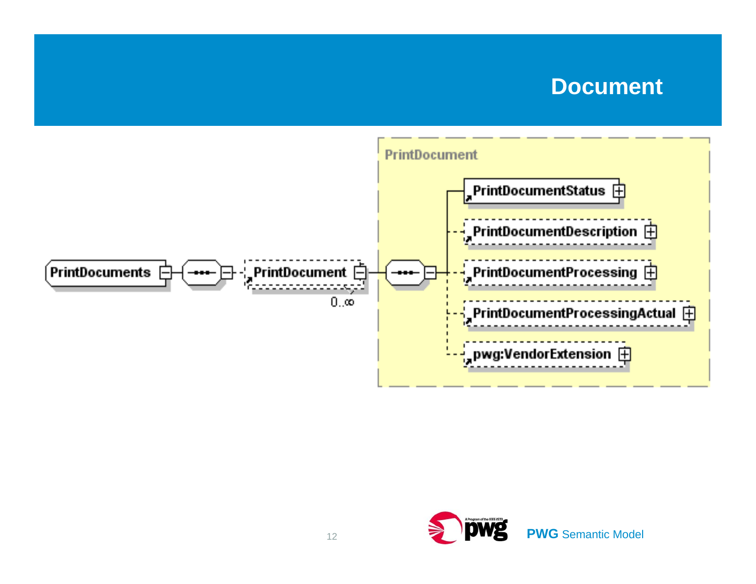#### **Document**



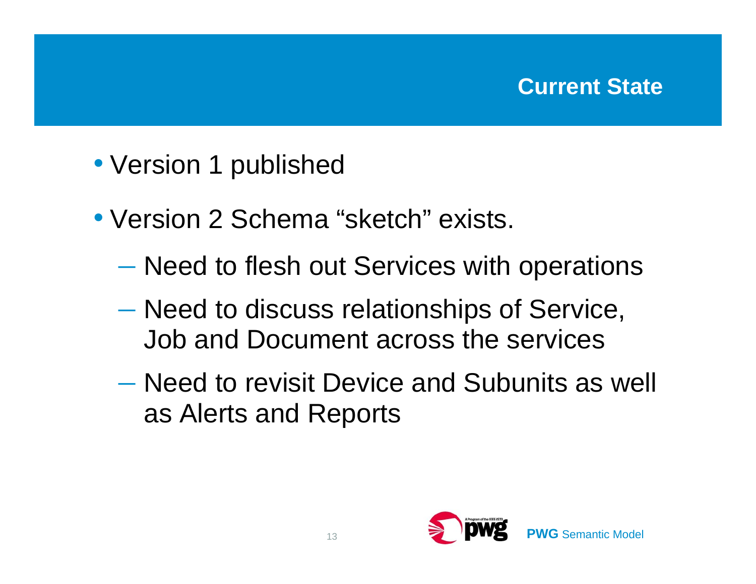- Version 1 published
- Version 2 Schema "sketch" exists.
	- $-$  Need to flesh out Services with operations
	- Need to discuss relationships of Service, Job and Document across the services
	- Need to revisit Device and Subunits as well as Alerts and Reports

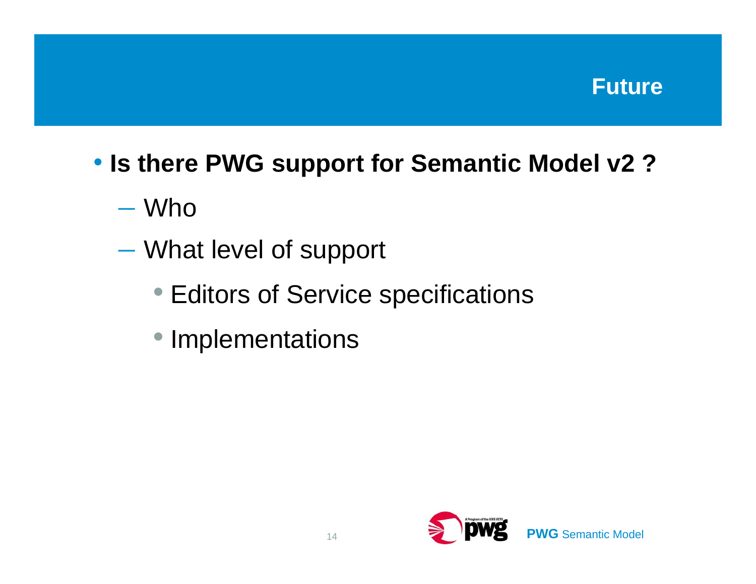

# • **Is there PWG support for Semantic Model v2 ?**

– Who

- Participant in the Company of the Company of What level of support
	- Editors of Service specifications
	- Implementations